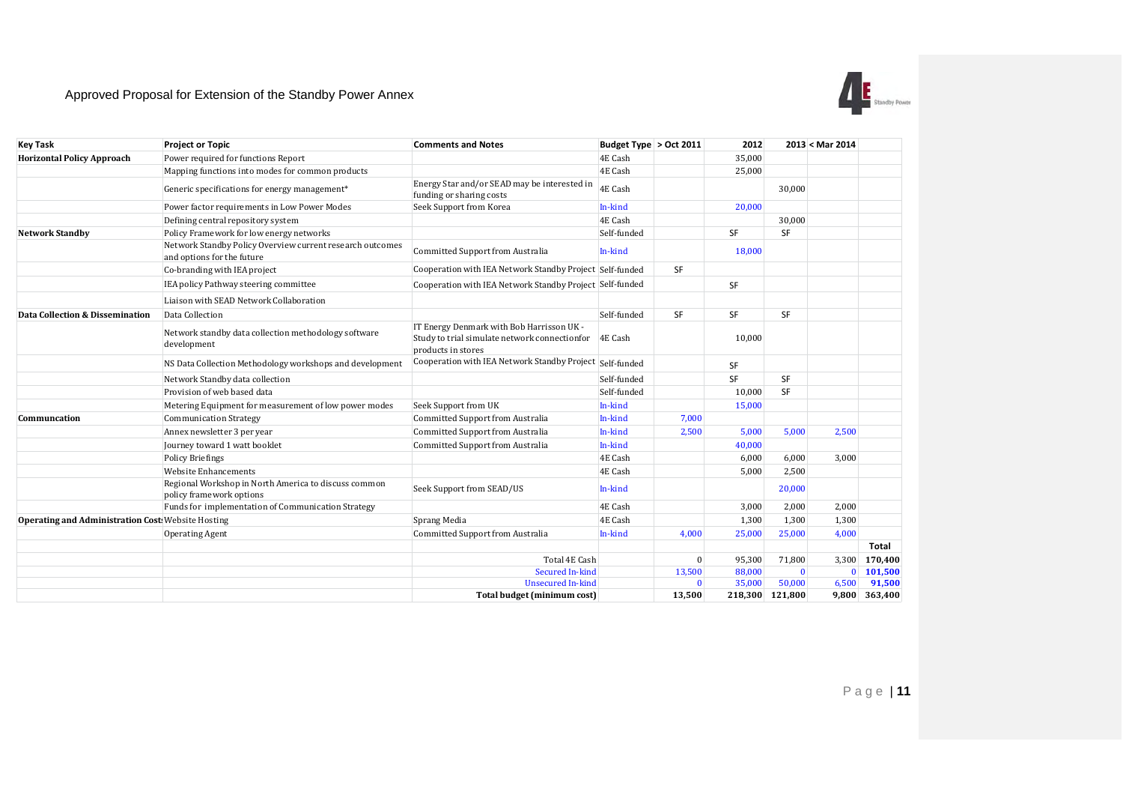## Approved Proposal for Extension of the Standby Power Annex



| <b>Key Task</b>                                           | <b>Project or Topic</b>                                                                 | <b>Comments and Notes</b>                                                                                        | Budget Type > Oct 2011 |              | 2012            |              | 2013 < Mar 2014 |                   |
|-----------------------------------------------------------|-----------------------------------------------------------------------------------------|------------------------------------------------------------------------------------------------------------------|------------------------|--------------|-----------------|--------------|-----------------|-------------------|
| <b>Horizontal Policy Approach</b>                         | Power required for functions Report                                                     |                                                                                                                  | 4E Cash                |              | 35,000          |              |                 |                   |
|                                                           | Mapping functions into modes for common products                                        |                                                                                                                  | 4E Cash                |              | 25,000          |              |                 |                   |
|                                                           | Generic specifications for energy management*                                           | Energy Star and/or SEAD may be interested in<br>funding or sharing costs                                         | 4E Cash                |              |                 | 30.000       |                 |                   |
|                                                           | Power factor requirements in Low Power Modes                                            | Seek Support from Korea                                                                                          | In-kind                |              | 20,000          |              |                 |                   |
|                                                           | Defining central repository system                                                      |                                                                                                                  | 4E Cash                |              |                 | 30,000       |                 |                   |
| <b>Network Standby</b>                                    | Policy Framework for low energy networks                                                |                                                                                                                  | Self-funded            |              | SF              | SF           |                 |                   |
|                                                           | Network Standby Policy Overview current research outcomes<br>and options for the future | Committed Support from Australia                                                                                 | In-kind                |              | 18,000          |              |                 |                   |
|                                                           | Co-branding with IEA project                                                            | Cooperation with IEA Network Standby Project Self-funded                                                         |                        | SF           |                 |              |                 |                   |
|                                                           | IEA policy Pathway steering committee                                                   | Cooperation with IEA Network Standby Project Self-funded                                                         |                        |              | SF              |              |                 |                   |
|                                                           | Liaison with SEAD Network Collaboration                                                 |                                                                                                                  |                        |              |                 |              |                 |                   |
| Data Collection & Dissemination                           | Data Collection                                                                         |                                                                                                                  | Self-funded            | SF           | <b>SF</b>       | SF           |                 |                   |
|                                                           | Network standby data collection methodology software<br>development                     | IT Energy Denmark with Bob Harrisson UK -<br>Study to trial simulate network connectionfor<br>products in stores | 4E Cash                |              | 10,000          |              |                 |                   |
|                                                           | NS Data Collection Methodology workshops and development                                | Cooperation with IEA Network Standby Project<br>Self-funded                                                      |                        |              | SF              |              |                 |                   |
|                                                           | Network Standby data collection                                                         |                                                                                                                  | Self-funded            |              | SF              | SF           |                 |                   |
|                                                           | Provision of web based data                                                             |                                                                                                                  | Self-funded            |              | 10,000          | SF           |                 |                   |
|                                                           | Metering Equipment for measurement of low power modes                                   | Seek Support from UK                                                                                             | In-kind                |              | 15,000          |              |                 |                   |
| Communcation                                              | <b>Communication Strategy</b>                                                           | Committed Support from Australia                                                                                 | In-kind                | 7,000        |                 |              |                 |                   |
|                                                           | Annex newsletter 3 per year                                                             | Committed Support from Australia                                                                                 | In-kind                | 2,500        | 5,000           | 5.000        | 2,500           |                   |
|                                                           | Journey toward 1 watt booklet                                                           | <b>Committed Support from Australia</b>                                                                          | In-kind                |              | 40,000          |              |                 |                   |
|                                                           | <b>Policy Briefings</b>                                                                 |                                                                                                                  | 4E Cash                |              | 6,000           | 6,000        | 3,000           |                   |
|                                                           | <b>Website Enhancements</b>                                                             |                                                                                                                  | 4E Cash                |              | 5,000           | 2,500        |                 |                   |
|                                                           | Regional Workshop in North America to discuss common<br>policy framework options        | Seek Support from SEAD/US                                                                                        | In-kind                |              |                 | 20,000       |                 |                   |
|                                                           | Funds for implementation of Communication Strategy                                      |                                                                                                                  | 4E Cash                |              | 3,000           | 2,000        | 2,000           |                   |
| <b>Operating and Administration Cost: Website Hosting</b> |                                                                                         | Sprang Media                                                                                                     | 4E Cash                |              | 1,300           | 1,300        | 1,300           |                   |
|                                                           | <b>Operating Agent</b>                                                                  | Committed Support from Australia                                                                                 | In-kind                | 4,000        | 25,000          | 25,000       | 4,000           |                   |
|                                                           |                                                                                         |                                                                                                                  |                        |              |                 |              |                 | Total             |
|                                                           |                                                                                         | Total 4E Cash                                                                                                    |                        | $\theta$     | 95,300          | 71,800       | 3,300           | 170,400           |
|                                                           |                                                                                         | Secured In-kind                                                                                                  |                        | 13,500       | 88,000          | $\mathbf{0}$ |                 | $0 \quad 101,500$ |
|                                                           |                                                                                         | <b>Unsecured In-kind</b>                                                                                         |                        | $\mathbf{0}$ | 35,000          | 50,000       | 6,500           | 91,500            |
|                                                           |                                                                                         | Total budget (minimum cost)                                                                                      |                        | 13,500       | 218,300 121,800 |              |                 | 9,800 363,400     |

 $P$ age | 11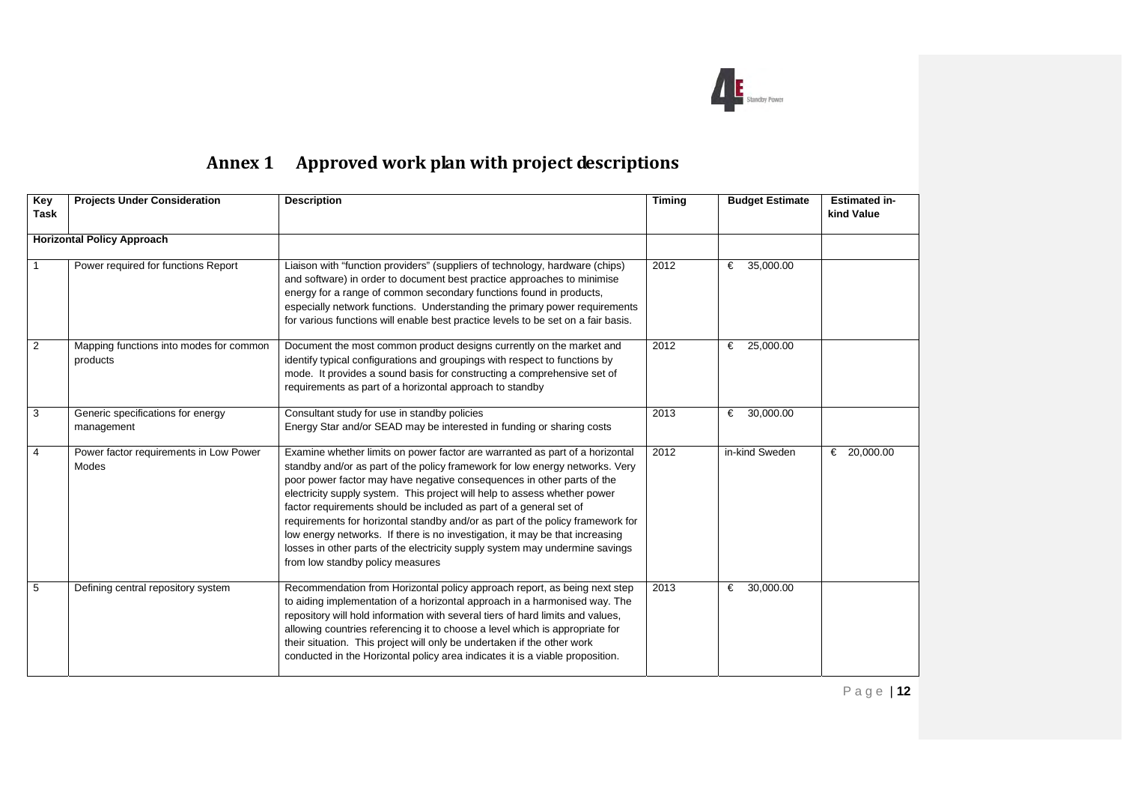

## Annex 1 Approved work plan with project descriptions

| Key<br>Task                       | <b>Projects Under Consideration</b>                 | <b>Description</b>                                                                                                                                                                                                                                                                                                                                                                                                                                                                                                                                                                                                                                                              | <b>Budget Estimate</b><br><b>Timing</b> |                | <b>Estimated in-</b><br>kind Value |
|-----------------------------------|-----------------------------------------------------|---------------------------------------------------------------------------------------------------------------------------------------------------------------------------------------------------------------------------------------------------------------------------------------------------------------------------------------------------------------------------------------------------------------------------------------------------------------------------------------------------------------------------------------------------------------------------------------------------------------------------------------------------------------------------------|-----------------------------------------|----------------|------------------------------------|
| <b>Horizontal Policy Approach</b> |                                                     |                                                                                                                                                                                                                                                                                                                                                                                                                                                                                                                                                                                                                                                                                 |                                         |                |                                    |
|                                   | Power required for functions Report                 | Liaison with "function providers" (suppliers of technology, hardware (chips)<br>and software) in order to document best practice approaches to minimise<br>energy for a range of common secondary functions found in products,<br>especially network functions. Understanding the primary power requirements<br>for various functions will enable best practice levels to be set on a fair basis.                                                                                                                                                                                                                                                                               | 2012                                    | 35,000.00<br>€ |                                    |
| $\overline{2}$                    | Mapping functions into modes for common<br>products | Document the most common product designs currently on the market and<br>identify typical configurations and groupings with respect to functions by<br>mode. It provides a sound basis for constructing a comprehensive set of<br>requirements as part of a horizontal approach to standby                                                                                                                                                                                                                                                                                                                                                                                       | 2012                                    | 25,000.00<br>€ |                                    |
| $\mathbf{3}$                      | Generic specifications for energy<br>management     | Consultant study for use in standby policies<br>Energy Star and/or SEAD may be interested in funding or sharing costs                                                                                                                                                                                                                                                                                                                                                                                                                                                                                                                                                           | 2013                                    | 30,000.00<br>€ |                                    |
| $\overline{4}$                    | Power factor requirements in Low Power<br>Modes     | Examine whether limits on power factor are warranted as part of a horizontal<br>standby and/or as part of the policy framework for low energy networks. Very<br>poor power factor may have negative consequences in other parts of the<br>electricity supply system. This project will help to assess whether power<br>factor requirements should be included as part of a general set of<br>requirements for horizontal standby and/or as part of the policy framework for<br>low energy networks. If there is no investigation, it may be that increasing<br>losses in other parts of the electricity supply system may undermine savings<br>from low standby policy measures | 2012                                    | in-kind Sweden | € 20,000.00                        |
| -5                                | Defining central repository system                  | Recommendation from Horizontal policy approach report, as being next step<br>to aiding implementation of a horizontal approach in a harmonised way. The<br>repository will hold information with several tiers of hard limits and values,<br>allowing countries referencing it to choose a level which is appropriate for<br>their situation. This project will only be undertaken if the other work<br>conducted in the Horizontal policy area indicates it is a viable proposition.                                                                                                                                                                                           | 2013                                    | 30,000.00<br>€ |                                    |

Page | **12**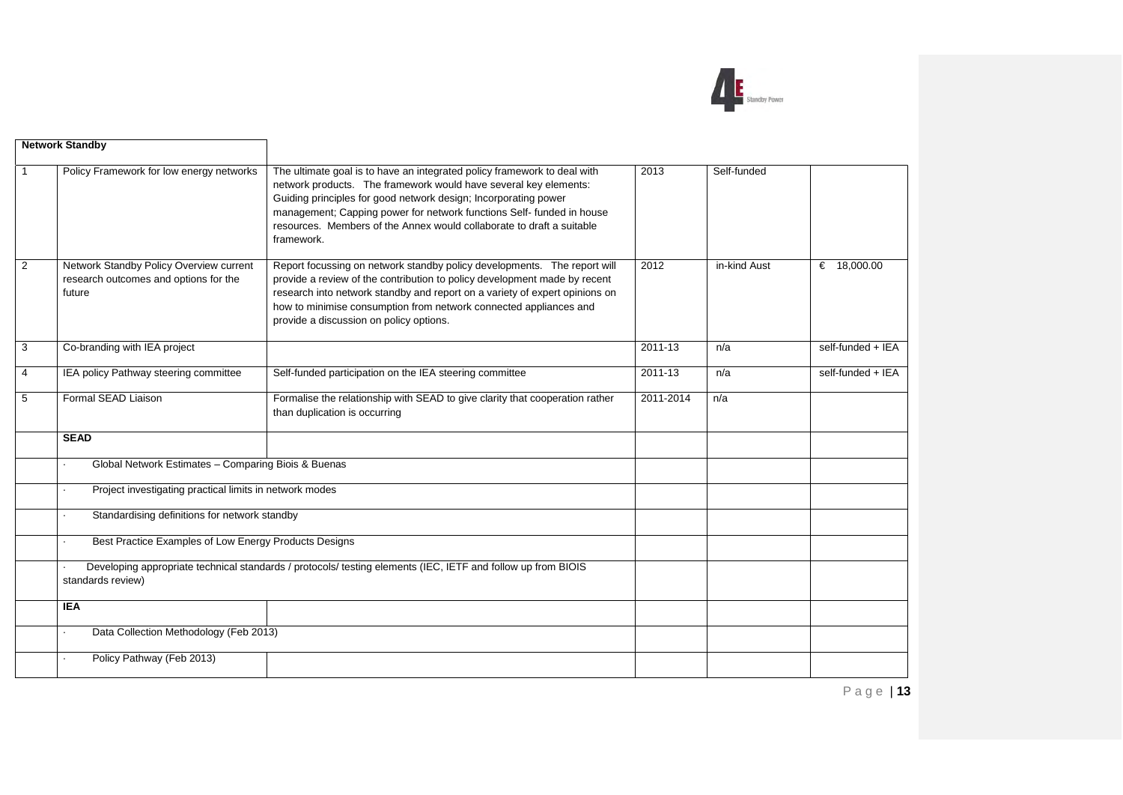

|   | <b>Network Standby</b>                                                                                                                                                                                                                                                                                                                                                                                                                             |                                                                                                                                                                                                                                                                                                                                                                                 |               |              |                   |
|---|----------------------------------------------------------------------------------------------------------------------------------------------------------------------------------------------------------------------------------------------------------------------------------------------------------------------------------------------------------------------------------------------------------------------------------------------------|---------------------------------------------------------------------------------------------------------------------------------------------------------------------------------------------------------------------------------------------------------------------------------------------------------------------------------------------------------------------------------|---------------|--------------|-------------------|
|   | Policy Framework for low energy networks                                                                                                                                                                                                                                                                                                                                                                                                           | The ultimate goal is to have an integrated policy framework to deal with<br>network products. The framework would have several key elements:<br>Guiding principles for good network design; Incorporating power<br>management; Capping power for network functions Self- funded in house<br>resources. Members of the Annex would collaborate to draft a suitable<br>framework. | 2013          | Self-funded  |                   |
| 2 | Network Standby Policy Overview current<br>Report focussing on network standby policy developments. The report will<br>provide a review of the contribution to policy development made by recent<br>research outcomes and options for the<br>research into network standby and report on a variety of expert opinions on<br>future<br>how to minimise consumption from network connected appliances and<br>provide a discussion on policy options. |                                                                                                                                                                                                                                                                                                                                                                                 | $\sqrt{2012}$ | in-kind Aust | € $18,000.00$     |
| 3 | Co-branding with IEA project                                                                                                                                                                                                                                                                                                                                                                                                                       |                                                                                                                                                                                                                                                                                                                                                                                 | 2011-13       | n/a          | self-funded + IEA |
| 4 | IEA policy Pathway steering committee                                                                                                                                                                                                                                                                                                                                                                                                              | Self-funded participation on the IEA steering committee                                                                                                                                                                                                                                                                                                                         |               | n/a          | self-funded + IEA |
| 5 | Formal SEAD Liaison<br>Formalise the relationship with SEAD to give clarity that cooperation rather<br>than duplication is occurring                                                                                                                                                                                                                                                                                                               |                                                                                                                                                                                                                                                                                                                                                                                 | 2011-2014     | n/a          |                   |
|   | <b>SEAD</b>                                                                                                                                                                                                                                                                                                                                                                                                                                        |                                                                                                                                                                                                                                                                                                                                                                                 |               |              |                   |
|   | Global Network Estimates - Comparing Biois & Buenas                                                                                                                                                                                                                                                                                                                                                                                                |                                                                                                                                                                                                                                                                                                                                                                                 |               |              |                   |
|   | Project investigating practical limits in network modes                                                                                                                                                                                                                                                                                                                                                                                            |                                                                                                                                                                                                                                                                                                                                                                                 |               |              |                   |
|   | Standardising definitions for network standby                                                                                                                                                                                                                                                                                                                                                                                                      |                                                                                                                                                                                                                                                                                                                                                                                 |               |              |                   |
|   | Best Practice Examples of Low Energy Products Designs                                                                                                                                                                                                                                                                                                                                                                                              |                                                                                                                                                                                                                                                                                                                                                                                 |               |              |                   |
|   | standards review)                                                                                                                                                                                                                                                                                                                                                                                                                                  | Developing appropriate technical standards / protocols/ testing elements (IEC, IETF and follow up from BIOIS                                                                                                                                                                                                                                                                    |               |              |                   |
|   | <b>IEA</b>                                                                                                                                                                                                                                                                                                                                                                                                                                         |                                                                                                                                                                                                                                                                                                                                                                                 |               |              |                   |
|   | Data Collection Methodology (Feb 2013)                                                                                                                                                                                                                                                                                                                                                                                                             |                                                                                                                                                                                                                                                                                                                                                                                 |               |              |                   |
|   | Policy Pathway (Feb 2013)                                                                                                                                                                                                                                                                                                                                                                                                                          |                                                                                                                                                                                                                                                                                                                                                                                 |               |              |                   |

Page | **13**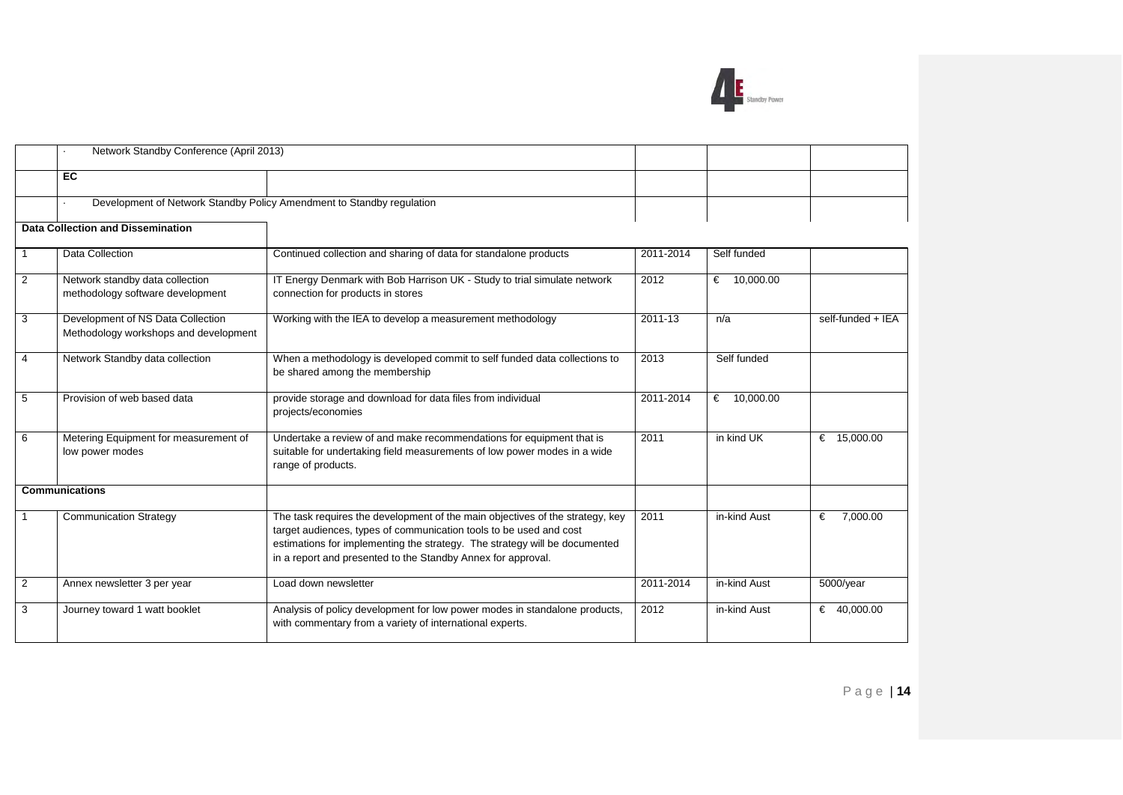

|                | Network Standby Conference (April 2013)                                                                                                                                                                                                                                                                                            |                                                                                                                                                                        |             |               |                   |
|----------------|------------------------------------------------------------------------------------------------------------------------------------------------------------------------------------------------------------------------------------------------------------------------------------------------------------------------------------|------------------------------------------------------------------------------------------------------------------------------------------------------------------------|-------------|---------------|-------------------|
|                |                                                                                                                                                                                                                                                                                                                                    |                                                                                                                                                                        |             |               |                   |
|                | <b>EC</b>                                                                                                                                                                                                                                                                                                                          |                                                                                                                                                                        |             |               |                   |
|                |                                                                                                                                                                                                                                                                                                                                    | Development of Network Standby Policy Amendment to Standby regulation                                                                                                  |             |               |                   |
|                | <b>Data Collection and Dissemination</b>                                                                                                                                                                                                                                                                                           |                                                                                                                                                                        |             |               |                   |
|                | <b>Data Collection</b>                                                                                                                                                                                                                                                                                                             | Continued collection and sharing of data for standalone products                                                                                                       | 2011-2014   | Self funded   |                   |
| 2              | IT Energy Denmark with Bob Harrison UK - Study to trial simulate network<br>Network standby data collection<br>methodology software development<br>connection for products in stores                                                                                                                                               |                                                                                                                                                                        | 2012        | € $10,000.00$ |                   |
| 3              | Development of NS Data Collection<br>Working with the IEA to develop a measurement methodology<br>Methodology workshops and development                                                                                                                                                                                            |                                                                                                                                                                        | $2011 - 13$ | n/a           | self-funded + IEA |
| $\overline{4}$ | Network Standby data collection<br>When a methodology is developed commit to self funded data collections to<br>be shared among the membership                                                                                                                                                                                     |                                                                                                                                                                        | 2013        | Self funded   |                   |
| 5              | Provision of web based data                                                                                                                                                                                                                                                                                                        | provide storage and download for data files from individual<br>projects/economies                                                                                      | 2011-2014   | € $10,000.00$ |                   |
| 6              | Metering Equipment for measurement of<br>low power modes                                                                                                                                                                                                                                                                           | Undertake a review of and make recommendations for equipment that is<br>suitable for undertaking field measurements of low power modes in a wide<br>range of products. | 2011        | in kind UK    | € 15,000.00       |
|                | <b>Communications</b>                                                                                                                                                                                                                                                                                                              |                                                                                                                                                                        |             |               |                   |
|                | The task requires the development of the main objectives of the strategy, key<br><b>Communication Strategy</b><br>target audiences, types of communication tools to be used and cost<br>estimations for implementing the strategy. The strategy will be documented<br>in a report and presented to the Standby Annex for approval. |                                                                                                                                                                        | 2011        | in-kind Aust  | 7.000.00<br>€     |
| 2              | Annex newsletter 3 per year                                                                                                                                                                                                                                                                                                        | Load down newsletter                                                                                                                                                   | 2011-2014   | in-kind Aust  | 5000/year         |
| 3              | Journey toward 1 watt booklet                                                                                                                                                                                                                                                                                                      | Analysis of policy development for low power modes in standalone products,<br>with commentary from a variety of international experts.                                 | 2012        | in-kind Aust  | € 40,000.00       |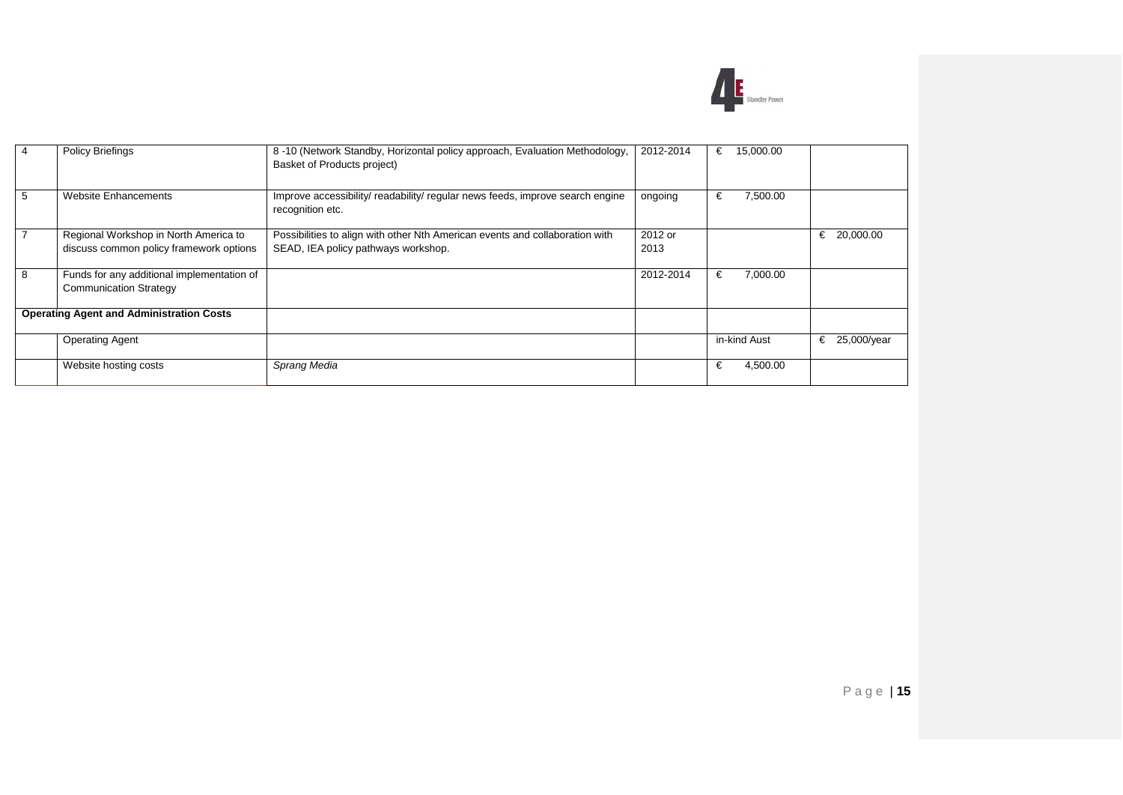

| 4 | Policy Briefings                                                                                                                                                                                        | 8-10 (Network Standby, Horizontal policy approach, Evaluation Methodology,<br>2012-2014<br>Basket of Products project) |                 | 15,000.00<br>€ |                |
|---|---------------------------------------------------------------------------------------------------------------------------------------------------------------------------------------------------------|------------------------------------------------------------------------------------------------------------------------|-----------------|----------------|----------------|
| 5 | <b>Website Enhancements</b>                                                                                                                                                                             | Improve accessibility/ readability/ regular news feeds, improve search engine<br>recognition etc.                      | ongoing         | 7,500.00<br>€  |                |
|   | Regional Workshop in North America to<br>Possibilities to align with other Nth American events and collaboration with<br>SEAD, IEA policy pathways workshop.<br>discuss common policy framework options |                                                                                                                        | 2012 or<br>2013 |                | 20,000.00<br>€ |
| 8 | Funds for any additional implementation of<br><b>Communication Strategy</b>                                                                                                                             |                                                                                                                        | 2012-2014       | €<br>7,000.00  |                |
|   | <b>Operating Agent and Administration Costs</b>                                                                                                                                                         |                                                                                                                        |                 |                |                |
|   | <b>Operating Agent</b>                                                                                                                                                                                  |                                                                                                                        |                 | in-kind Aust   | € 25,000/year  |
|   | Website hosting costs                                                                                                                                                                                   | Sprang Media                                                                                                           |                 | €<br>4,500.00  |                |